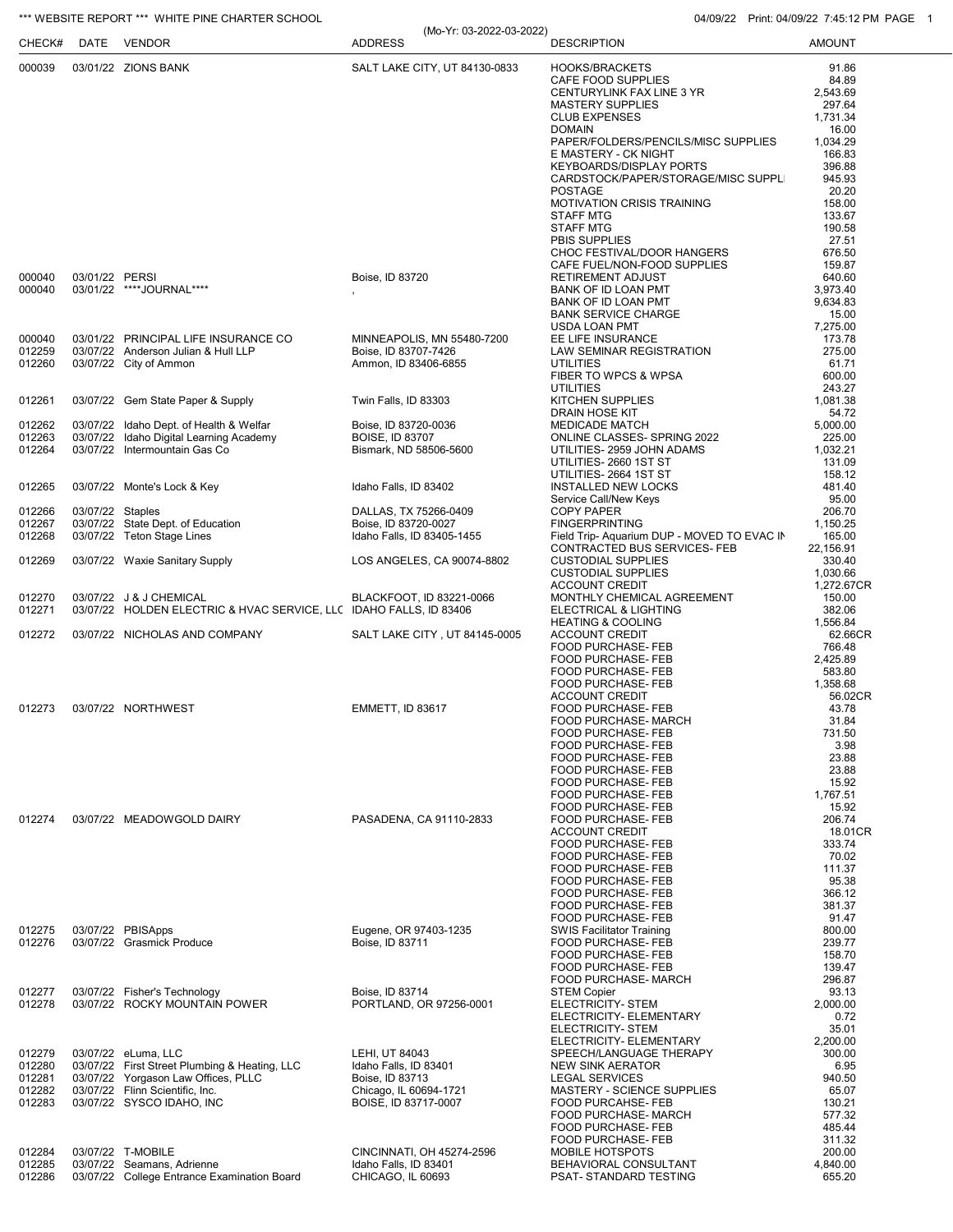## \*\*\* WEBSITE REPORT \*\*\* WHITE PINE CHARTER SCHOOL 04/09/22 Print: 04/09/22 Print: 04/09/22 7:45:12 PM PAGE 1

| CHECK#           | WEDSHE REPURT    | WHILE PINE UNARTER SURVUL<br>DATE VENDOR                                                      | (Mo-Yr: 03-2022-03-2022)<br><b>ADDRESS</b>     | 04/09/22 PHIL 04/09/22 1.45.12 PM F<br><b>DESCRIPTION</b>         | <b>AMOUNT</b>              |
|------------------|------------------|-----------------------------------------------------------------------------------------------|------------------------------------------------|-------------------------------------------------------------------|----------------------------|
| 000039           |                  | 03/01/22 ZIONS BANK                                                                           | SALT LAKE CITY, UT 84130-0833                  | HOOKS/BRACKETS<br>CAFE FOOD SUPPLIES<br>CENTURYLINK FAX LINE 3 YR | 91.86<br>84.89<br>2,543.69 |
|                  |                  |                                                                                               |                                                | <b>MASTERY SUPPLIES</b><br><b>CLUB EXPENSES</b>                   | 297.64<br>1,731.34         |
|                  |                  |                                                                                               |                                                | <b>DOMAIN</b>                                                     | 16.00                      |
|                  |                  |                                                                                               |                                                | PAPER/FOLDERS/PENCILS/MISC SUPPLIES<br>E MASTERY - CK NIGHT       | 1,034.29<br>166.83         |
|                  |                  |                                                                                               |                                                | <b>KEYBOARDS/DISPLAY PORTS</b>                                    | 396.88                     |
|                  |                  |                                                                                               |                                                | CARDSTOCK/PAPER/STORAGE/MISC SUPPL                                | 945.93                     |
|                  |                  |                                                                                               |                                                | <b>POSTAGE</b><br><b>MOTIVATION CRISIS TRAINING</b>               | 20.20<br>158.00            |
|                  |                  |                                                                                               |                                                | <b>STAFF MTG</b>                                                  | 133.67                     |
|                  |                  |                                                                                               |                                                | <b>STAFF MTG</b><br>PBIS SUPPLIES                                 | 190.58<br>27.51            |
|                  |                  |                                                                                               |                                                | CHOC FESTIVAL/DOOR HANGERS                                        | 676.50                     |
|                  |                  |                                                                                               |                                                | CAFE FUEL/NON-FOOD SUPPLIES                                       | 159.87                     |
| 000040<br>000040 | 03/01/22 PERSI   | 03/01/22 ****JOURNAL****                                                                      | Boise, ID 83720                                | RETIREMENT ADJUST<br>BANK OF ID LOAN PMT                          | 640.60<br>3,973.40         |
|                  |                  |                                                                                               |                                                | BANK OF ID LOAN PMT                                               | 9,634.83                   |
|                  |                  |                                                                                               |                                                | <b>BANK SERVICE CHARGE</b>                                        | 15.00                      |
| 000040           |                  | 03/01/22 PRINCIPAL LIFE INSURANCE CO                                                          | MINNEAPOLIS, MN 55480-7200                     | USDA LOAN PMT<br>EE LIFE INSURANCE                                | 7,275.00<br>173.78         |
| 012259           |                  | 03/07/22 Anderson Julian & Hull LLP                                                           | Boise, ID 83707-7426                           | LAW SEMINAR REGISTRATION                                          | 275.00                     |
| 012260           |                  | 03/07/22 City of Ammon                                                                        | Ammon, ID 83406-6855                           | <b>UTILITIES</b>                                                  | 61.71                      |
|                  |                  |                                                                                               |                                                | FIBER TO WPCS & WPSA<br><b>UTILITIES</b>                          | 600.00<br>243.27           |
| 012261           |                  | 03/07/22 Gem State Paper & Supply                                                             | Twin Falls, ID 83303                           | KITCHEN SUPPLIES                                                  | 1,081.38                   |
| 012262           |                  | 03/07/22 Idaho Dept. of Health & Welfar                                                       | Boise, ID 83720-0036                           | DRAIN HOSE KIT<br><b>MEDICADE MATCH</b>                           | 54.72<br>5,000.00          |
| 012263           |                  | 03/07/22 Idaho Digital Learning Academy                                                       | <b>BOISE, ID 83707</b>                         | ONLINE CLASSES- SPRING 2022                                       | 225.00                     |
| 012264           |                  | 03/07/22 Intermountain Gas Co                                                                 | Bismark, ND 58506-5600                         | UTILITIES- 2959 JOHN ADAMS                                        | 1,032.21                   |
|                  |                  |                                                                                               |                                                | UTILITIES-2660 1ST ST<br>UTILITIES-2664 1ST ST                    | 131.09<br>158.12           |
| 012265           |                  | 03/07/22 Monte's Lock & Key                                                                   | Idaho Falls, ID 83402                          | <b>INSTALLED NEW LOCKS</b>                                        | 481.40                     |
|                  |                  |                                                                                               |                                                | Service Call/New Keys                                             | 95.00                      |
| 012266<br>012267 | 03/07/22 Staples | 03/07/22 State Dept. of Education                                                             | DALLAS, TX 75266-0409<br>Boise, ID 83720-0027  | <b>COPY PAPER</b><br><b>FINGERPRINTING</b>                        | 206.70<br>1,150.25         |
| 012268           |                  | 03/07/22 Teton Stage Lines                                                                    | Idaho Falls, ID 83405-1455                     | Field Trip- Aquarium DUP - MOVED TO EVAC IN                       | 165.00                     |
|                  |                  |                                                                                               |                                                | CONTRACTED BUS SERVICES- FEB                                      | 22,156.91                  |
| 012269           |                  | 03/07/22 Waxie Sanitary Supply                                                                | LOS ANGELES, CA 90074-8802                     | <b>CUSTODIAL SUPPLIES</b><br><b>CUSTODIAL SUPPLIES</b>            | 330.40<br>1,030.66         |
|                  |                  |                                                                                               |                                                | <b>ACCOUNT CREDIT</b>                                             | 1,272.67CR                 |
| 012270<br>012271 |                  | 03/07/22 J & J CHEMICAL<br>03/07/22 HOLDEN ELECTRIC & HVAC SERVICE, LLC IDAHO FALLS, ID 83406 | BLACKFOOT, ID 83221-0066                       | MONTHLY CHEMICAL AGREEMENT<br>ELECTRICAL & LIGHTING               | 150.00<br>382.06           |
|                  |                  |                                                                                               |                                                | <b>HEATING &amp; COOLING</b>                                      | 1,556.84                   |
| 012272           |                  | 03/07/22 NICHOLAS AND COMPANY                                                                 | SALT LAKE CITY, UT 84145-0005                  | <b>ACCOUNT CREDIT</b>                                             | 62.66CR                    |
|                  |                  |                                                                                               |                                                | FOOD PURCHASE- FEB<br>FOOD PURCHASE- FEB                          | 766.48<br>2,425.89         |
|                  |                  |                                                                                               |                                                | FOOD PURCHASE- FEB                                                | 583.80                     |
|                  |                  |                                                                                               |                                                | FOOD PURCHASE- FEB<br><b>ACCOUNT CREDIT</b>                       | 1,358.68<br>56.02CR        |
| 012273           |                  | 03/07/22 NORTHWEST                                                                            | EMMETT, ID 83617                               | FOOD PURCHASE- FEB                                                | 43.78                      |
|                  |                  |                                                                                               |                                                | FOOD PURCHASE- MARCH                                              | 31.84                      |
|                  |                  |                                                                                               |                                                | <b>FOOD PURCHASE- FEB</b><br><b>FOOD PURCHASE- FEB</b>            | 731.50<br>3.98             |
|                  |                  |                                                                                               |                                                | <b>FOOD PURCHASE- FEB</b>                                         | 23.88                      |
|                  |                  |                                                                                               |                                                | FOOD PURCHASE- FEB<br><b>FOOD PURCHASE- FEB</b>                   | 23.88<br>15.92             |
|                  |                  |                                                                                               |                                                | <b>FOOD PURCHASE- FEB</b>                                         | 1,767.51                   |
|                  |                  |                                                                                               |                                                | FOOD PURCHASE- FEB                                                | 15.92                      |
| 012274           |                  | 03/07/22 MEADOWGOLD DAIRY                                                                     | PASADENA, CA 91110-2833                        | <b>FOOD PURCHASE- FEB</b><br><b>ACCOUNT CREDIT</b>                | 206.74<br>18.01CR          |
|                  |                  |                                                                                               |                                                | FOOD PURCHASE- FEB                                                | 333.74                     |
|                  |                  |                                                                                               |                                                | <b>FOOD PURCHASE- FEB</b>                                         | 70.02                      |
|                  |                  |                                                                                               |                                                | <b>FOOD PURCHASE- FEB</b><br><b>FOOD PURCHASE- FEB</b>            | 111.37<br>95.38            |
|                  |                  |                                                                                               |                                                | <b>FOOD PURCHASE- FEB</b>                                         | 366.12                     |
|                  |                  |                                                                                               |                                                | <b>FOOD PURCHASE- FEB</b><br><b>FOOD PURCHASE- FEB</b>            | 381.37<br>91.47            |
| 012275           |                  | 03/07/22 PBISApps                                                                             | Eugene, OR 97403-1235                          | <b>SWIS Facilitator Training</b>                                  | 800.00                     |
| 012276           |                  | 03/07/22 Grasmick Produce                                                                     | Boise, ID 83711                                | <b>FOOD PURCHASE- FEB</b>                                         | 239.77                     |
|                  |                  |                                                                                               |                                                | <b>FOOD PURCHASE- FEB</b><br><b>FOOD PURCHASE- FEB</b>            | 158.70<br>139.47           |
|                  |                  |                                                                                               |                                                | FOOD PURCHASE- MARCH                                              | 296.87                     |
| 012277<br>012278 |                  | 03/07/22 Fisher's Technology<br>03/07/22 ROCKY MOUNTAIN POWER                                 | Boise, ID 83714<br>PORTLAND, OR 97256-0001     | <b>STEM Copier</b><br><b>ELECTRICITY- STEM</b>                    | 93.13<br>2,000.00          |
|                  |                  |                                                                                               |                                                | ELECTRICITY- ELEMENTARY                                           | 0.72                       |
|                  |                  |                                                                                               |                                                | <b>ELECTRICITY- STEM</b>                                          | 35.01                      |
| 012279           |                  | 03/07/22 eLuma, LLC                                                                           | LEHI, UT 84043                                 | ELECTRICITY- ELEMENTARY<br>SPEECH/LANGUAGE THERAPY                | 2,200.00<br>300.00         |
| 012280           |                  | 03/07/22 First Street Plumbing & Heating, LLC                                                 | Idaho Falls, ID 83401                          | NEW SINK AERATOR                                                  | 6.95                       |
| 012281           |                  | 03/07/22 Yorgason Law Offices, PLLC                                                           | Boise, ID 83713                                | <b>LEGAL SERVICES</b>                                             | 940.50                     |
| 012282<br>012283 |                  | 03/07/22 Flinn Scientific, Inc.<br>03/07/22 SYSCO IDAHO, INC                                  | Chicago, IL 60694-1721<br>BOISE, ID 83717-0007 | MASTERY - SCIENCE SUPPLIES<br>FOOD PURCAHSE- FEB                  | 65.07<br>130.21            |
|                  |                  |                                                                                               |                                                | FOOD PURCHASE- MARCH                                              | 577.32                     |
|                  |                  |                                                                                               |                                                | <b>FOOD PURCHASE- FEB</b><br><b>FOOD PURCHASE- FEB</b>            | 485.44<br>311.32           |
| 012284           |                  | 03/07/22 T-MOBILE                                                                             | CINCINNATI, OH 45274-2596                      | MOBILE HOTSPOTS                                                   | 200.00                     |
| 012285           |                  | 03/07/22 Seamans, Adrienne                                                                    | Idaho Falls, ID 83401                          | BEHAVIORAL CONSULTANT                                             | 4,840.00                   |
| 012286           |                  | 03/07/22 College Entrance Examination Board                                                   | CHICAGO, IL 60693                              | PSAT-STANDARD TESTING                                             | 655.20                     |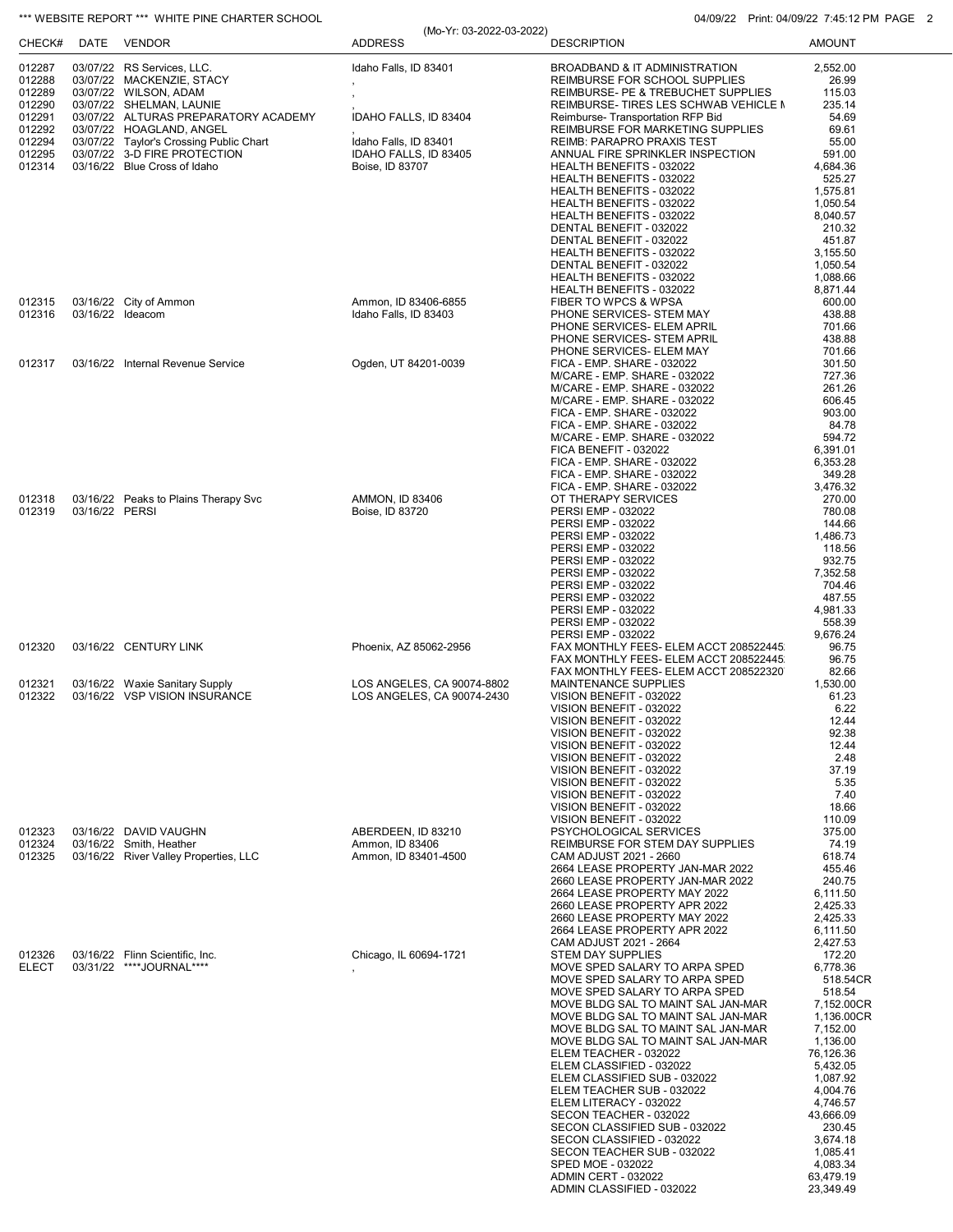## \*\*\* WEBSITE REPORT \*\*\* WHITE PINE CHARTER SCHOOL **CHARTER SCHOOL** 04/09/22 Print: 04/09/22 Print: 04/09/22 7:45:12 PM PAGE 2

| CHECK#           |                  | DATE VENDOR                                                         | (Mo-Yr: 03-2022-03-2022)<br><b>ADDRESS</b>    | <b>DESCRIPTION</b>                                                             | $1.111111. 0 + 10012221.7011211111$<br><b>AMOUNT</b> |
|------------------|------------------|---------------------------------------------------------------------|-----------------------------------------------|--------------------------------------------------------------------------------|------------------------------------------------------|
| 012287           |                  | 03/07/22 RS Services, LLC.                                          | Idaho Falls, ID 83401                         | BROADBAND & IT ADMINISTRATION                                                  | 2,552.00                                             |
| 012288           |                  | 03/07/22 MACKENZIE, STACY                                           |                                               | REIMBURSE FOR SCHOOL SUPPLIES                                                  | 26.99                                                |
| 012289<br>012290 |                  | 03/07/22 WILSON, ADAM<br>03/07/22 SHELMAN, LAUNIE                   |                                               | REIMBURSE- PE & TREBUCHET SUPPLIES<br>REIMBURSE-TIRES LES SCHWAB VEHICLE N     | 115.03<br>235.14                                     |
| 012291           |                  | 03/07/22 ALTURAS PREPARATORY ACADEMY                                | IDAHO FALLS, ID 83404                         | Reimburse- Transportation RFP Bid                                              | 54.69                                                |
| 012292<br>012294 |                  | 03/07/22 HOAGLAND, ANGEL<br>03/07/22 Taylor's Crossing Public Chart | Idaho Falls, ID 83401                         | <b>REIMBURSE FOR MARKETING SUPPLIES</b><br>REIMB: PARAPRO PRAXIS TEST          | 69.61<br>55.00                                       |
| 012295           |                  | 03/07/22 3-D FIRE PROTECTION                                        | IDAHO FALLS, ID 83405                         | ANNUAL FIRE SPRINKLER INSPECTION                                               | 591.00                                               |
| 012314           |                  | 03/16/22 Blue Cross of Idaho                                        | Boise, ID 83707                               | HEALTH BENEFITS - 032022                                                       | 4,684.36                                             |
|                  |                  |                                                                     |                                               | HEALTH BENEFITS - 032022<br>HEALTH BENEFITS - 032022                           | 525.27<br>1,575.81                                   |
|                  |                  |                                                                     |                                               | HEALTH BENEFITS - 032022                                                       | 1,050.54                                             |
|                  |                  |                                                                     |                                               | HEALTH BENEFITS - 032022<br>DENTAL BENEFIT - 032022                            | 8,040.57<br>210.32                                   |
|                  |                  |                                                                     |                                               | DENTAL BENEFIT - 032022                                                        | 451.87                                               |
|                  |                  |                                                                     |                                               | HEALTH BENEFITS - 032022                                                       | 3,155.50                                             |
|                  |                  |                                                                     |                                               | DENTAL BENEFIT - 032022<br>HEALTH BENEFITS - 032022                            | 1,050.54<br>1,088.66                                 |
|                  |                  |                                                                     |                                               | HEALTH BENEFITS - 032022                                                       | 8,871.44                                             |
| 012315<br>012316 | 03/16/22 Ideacom | 03/16/22 City of Ammon                                              | Ammon, ID 83406-6855<br>Idaho Falls, ID 83403 | FIBER TO WPCS & WPSA<br>PHONE SERVICES- STEM MAY                               | 600.00<br>438.88                                     |
|                  |                  |                                                                     |                                               | PHONE SERVICES- ELEM APRIL                                                     | 701.66                                               |
|                  |                  |                                                                     |                                               | PHONE SERVICES- STEM APRIL                                                     | 438.88                                               |
| 012317           |                  | 03/16/22 Internal Revenue Service                                   | Ogden, UT 84201-0039                          | PHONE SERVICES- ELEM MAY<br>FICA - EMP. SHARE - 032022                         | 701.66<br>301.50                                     |
|                  |                  |                                                                     |                                               | M/CARE - EMP. SHARE - 032022                                                   | 727.36                                               |
|                  |                  |                                                                     |                                               | M/CARE - EMP. SHARE - 032022<br>M/CARE - EMP. SHARE - 032022                   | 261.26<br>606.45                                     |
|                  |                  |                                                                     |                                               | FICA - EMP. SHARE - 032022                                                     | 903.00                                               |
|                  |                  |                                                                     |                                               | FICA - EMP. SHARE - 032022                                                     | 84.78                                                |
|                  |                  |                                                                     |                                               | M/CARE - EMP. SHARE - 032022<br>FICA BENEFIT - 032022                          | 594.72<br>6,391.01                                   |
|                  |                  |                                                                     |                                               | FICA - EMP. SHARE - 032022                                                     | 6,353.28                                             |
|                  |                  |                                                                     |                                               | FICA - EMP. SHARE - 032022                                                     | 349.28                                               |
| 012318           |                  | 03/16/22 Peaks to Plains Therapy Svc                                | <b>AMMON, ID 83406</b>                        | FICA - EMP. SHARE - 032022<br>OT THERAPY SERVICES                              | 3,476.32<br>270.00                                   |
| 012319           | 03/16/22 PERSI   |                                                                     | Boise, ID 83720                               | PERSI EMP - 032022                                                             | 780.08                                               |
|                  |                  |                                                                     |                                               | PERSI EMP - 032022                                                             | 144.66                                               |
|                  |                  |                                                                     |                                               | PERSI EMP - 032022<br>PERSI EMP - 032022                                       | 1,486.73<br>118.56                                   |
|                  |                  |                                                                     |                                               | PERSI EMP - 032022                                                             | 932.75                                               |
|                  |                  |                                                                     |                                               | <b>PERSI EMP - 032022</b><br>PERSI EMP - 032022                                | 7,352.58<br>704.46                                   |
|                  |                  |                                                                     |                                               | PERSI EMP - 032022                                                             | 487.55                                               |
|                  |                  |                                                                     |                                               | PERSI EMP - 032022                                                             | 4,981.33                                             |
|                  |                  |                                                                     |                                               | PERSI EMP - 032022<br>PERSI EMP - 032022                                       | 558.39<br>9,676.24                                   |
| 012320           |                  | 03/16/22 CENTURY LINK                                               | Phoenix, AZ 85062-2956                        | FAX MONTHLY FEES- ELEM ACCT 208522445                                          | 96.75                                                |
|                  |                  |                                                                     |                                               | FAX MONTHLY FEES- ELEM ACCT 208522445<br>FAX MONTHLY FEES- ELEM ACCT 208522320 | 96.75<br>82.66                                       |
| 012321           |                  | 03/16/22 Waxie Sanitary Supply                                      | LOS ANGELES, CA 90074-8802                    | <b>MAINTENANCE SUPPLIES</b>                                                    | 1,530.00                                             |
| 012322           |                  | 03/16/22 VSP VISION INSURANCE                                       | LOS ANGELES, CA 90074-2430                    | VISION BENEFIT - 032022                                                        | 61.23                                                |
|                  |                  |                                                                     |                                               | VISION BENEFIT - 032022<br>VISION BENEFIT - 032022                             | 6.22<br>12.44                                        |
|                  |                  |                                                                     |                                               | VISION BENEFIT - 032022                                                        | 92.38                                                |
|                  |                  |                                                                     |                                               | VISION BENEFIT - 032022<br>VISION BENEFIT - 032022                             | 12.44<br>2.48                                        |
|                  |                  |                                                                     |                                               | VISION BENEFIT - 032022                                                        | 37.19                                                |
|                  |                  |                                                                     |                                               | VISION BENEFIT - 032022                                                        | 5.35                                                 |
|                  |                  |                                                                     |                                               | VISION BENEFIT - 032022<br>VISION BENEFIT - 032022                             | 7.40<br>18.66                                        |
|                  |                  |                                                                     |                                               | VISION BENEFIT - 032022                                                        | 110.09                                               |
| 012323           |                  | 03/16/22 DAVID VAUGHN<br>03/16/22 Smith, Heather                    | ABERDEEN, ID 83210                            | PSYCHOLOGICAL SERVICES                                                         | 375.00<br>74.19                                      |
| 012324<br>012325 |                  | 03/16/22 River Valley Properties, LLC                               | Ammon, ID 83406<br>Ammon, ID 83401-4500       | REIMBURSE FOR STEM DAY SUPPLIES<br>CAM ADJUST 2021 - 2660                      | 618.74                                               |
|                  |                  |                                                                     |                                               | 2664 LEASE PROPERTY JAN-MAR 2022                                               | 455.46                                               |
|                  |                  |                                                                     |                                               | 2660 LEASE PROPERTY JAN-MAR 2022<br>2664 LEASE PROPERTY MAY 2022               | 240.75<br>6,111.50                                   |
|                  |                  |                                                                     |                                               | 2660 LEASE PROPERTY APR 2022                                                   | 2,425.33                                             |
|                  |                  |                                                                     |                                               | 2660 LEASE PROPERTY MAY 2022                                                   | 2,425.33                                             |
|                  |                  |                                                                     |                                               | 2664 LEASE PROPERTY APR 2022<br>CAM ADJUST 2021 - 2664                         | 6,111.50<br>2,427.53                                 |
| 012326           |                  | 03/16/22 Flinn Scientific, Inc.                                     | Chicago, IL 60694-1721                        | <b>STEM DAY SUPPLIES</b>                                                       | 172.20                                               |
| <b>ELECT</b>     |                  | 03/31/22 ****JOURNAL****                                            |                                               | MOVE SPED SALARY TO ARPA SPED<br>MOVE SPED SALARY TO ARPA SPED                 | 6,778.36<br>518.54CR                                 |
|                  |                  |                                                                     |                                               | MOVE SPED SALARY TO ARPA SPED                                                  | 518.54                                               |
|                  |                  |                                                                     |                                               | MOVE BLDG SAL TO MAINT SAL JAN-MAR                                             | 7,152.00CR                                           |
|                  |                  |                                                                     |                                               | MOVE BLDG SAL TO MAINT SAL JAN-MAR<br>MOVE BLDG SAL TO MAINT SAL JAN-MAR       | 1,136.00CR<br>7,152.00                               |
|                  |                  |                                                                     |                                               | MOVE BLDG SAL TO MAINT SAL JAN-MAR                                             | 1,136.00                                             |
|                  |                  |                                                                     |                                               | ELEM TEACHER - 032022                                                          | 76,126.36                                            |
|                  |                  |                                                                     |                                               | ELEM CLASSIFIED - 032022<br>ELEM CLASSIFIED SUB - 032022                       | 5,432.05<br>1,087.92                                 |
|                  |                  |                                                                     |                                               | ELEM TEACHER SUB - 032022                                                      | 4,004.76                                             |
|                  |                  |                                                                     |                                               | ELEM LITERACY - 032022<br>SECON TEACHER - 032022                               | 4,746.57<br>43,666.09                                |
|                  |                  |                                                                     |                                               | SECON CLASSIFIED SUB - 032022                                                  | 230.45                                               |
|                  |                  |                                                                     |                                               | SECON CLASSIFIED - 032022                                                      | 3,674.18                                             |
|                  |                  |                                                                     |                                               | SECON TEACHER SUB - 032022<br>SPED MOE - 032022                                | 1,085.41<br>4,083.34                                 |
|                  |                  |                                                                     |                                               | ADMIN CERT - 032022                                                            | 63,479.19                                            |
|                  |                  |                                                                     |                                               | ADMIN CLASSIFIED - 032022                                                      | 23,349.49                                            |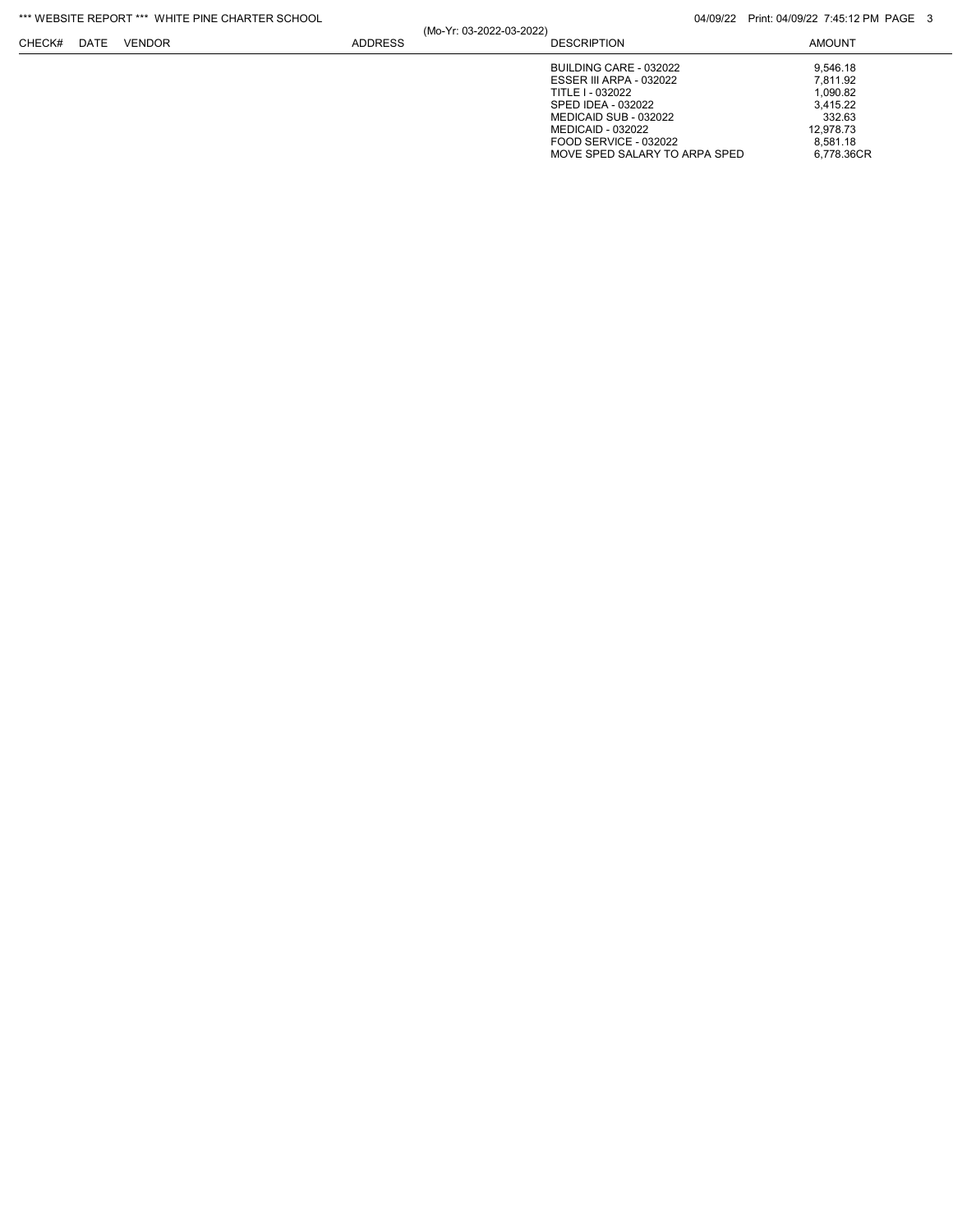| *** WEBSITE REPORT *** WHITE PINE CHARTER SCHOOL |      |        |         |                          |                               | 04/09/22 Print: 04/09/22 7:45:12 PM PAGE 3 |  |
|--------------------------------------------------|------|--------|---------|--------------------------|-------------------------------|--------------------------------------------|--|
| CHECK#                                           | DATE | VENDOR | ADDRESS | (Mo-Yr: 03-2022-03-2022) | <b>DESCRIPTION</b>            | <b>AMOUNT</b>                              |  |
|                                                  |      |        |         |                          | BUILDING CARE - 032022        | 9.546.18                                   |  |
|                                                  |      |        |         |                          | ESSER III ARPA - 032022       | 7.811.92                                   |  |
|                                                  |      |        |         |                          | TITLE I - 032022              | 1.090.82                                   |  |
|                                                  |      |        |         |                          | SPED IDEA - 032022            | 3.415.22                                   |  |
|                                                  |      |        |         |                          | MEDICAID SUB - 032022         | 332.63                                     |  |
|                                                  |      |        |         |                          | <b>MEDICAID - 032022</b>      | 12.978.73                                  |  |
|                                                  |      |        |         |                          | FOOD SERVICE - 032022         | 8.581.18                                   |  |
|                                                  |      |        |         |                          | MOVE SPED SALARY TO ARPA SPED | 6.778.36CR                                 |  |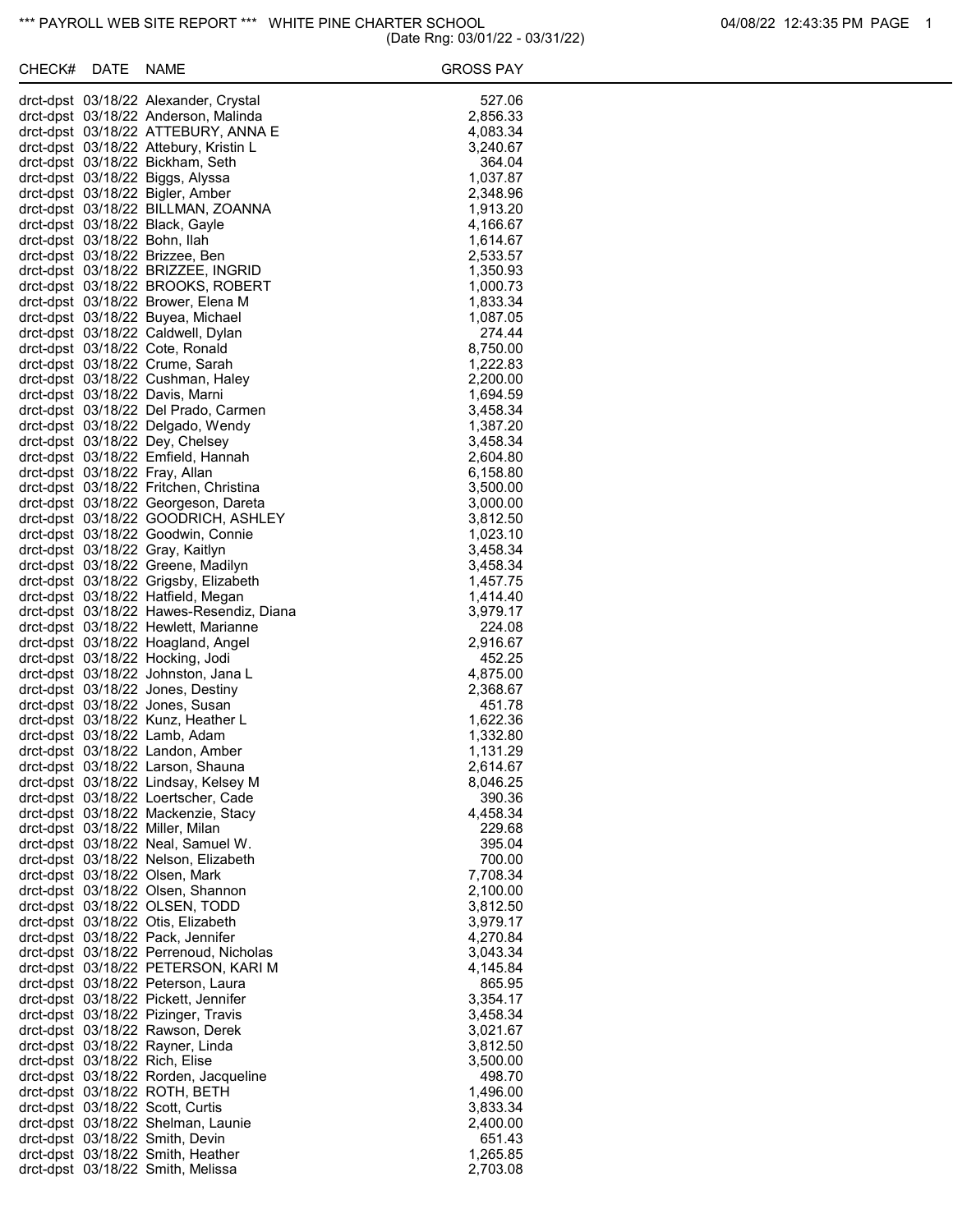| CHECK# DATE | <b>NAME</b>                                                                 | <b>GROSS PAY</b>     |
|-------------|-----------------------------------------------------------------------------|----------------------|
|             | drct-dpst 03/18/22 Alexander, Crystal                                       | 527.06               |
|             | drct-dpst 03/18/22 Anderson, Malinda                                        | 2,856.33             |
|             | drct-dpst 03/18/22 ATTEBURY, ANNA E                                         | 4,083.34             |
|             | drct-dpst 03/18/22 Attebury, Kristin L                                      | 3,240.67             |
|             | drct-dpst 03/18/22 Bickham, Seth                                            | 364.04               |
|             | drct-dpst 03/18/22 Biggs, Alyssa                                            | 1,037.87             |
|             | drct-dpst 03/18/22 Bigler, Amber                                            | 2,348.96             |
|             | drct-dpst 03/18/22 BILLMAN, ZOANNA                                          | 1,913.20             |
|             | drct-dpst 03/18/22 Black, Gayle                                             | 4,166.67             |
|             | drct-dpst 03/18/22 Bohn, Ilah                                               | 1,614.67             |
|             | drct-dpst 03/18/22 Brizzee, Ben                                             | 2,533.57             |
|             | drct-dpst 03/18/22 BRIZZEE, INGRID                                          | 1,350.93             |
|             | drct-dpst 03/18/22 BROOKS, ROBERT<br>drct-dpst 03/18/22 Brower, Elena M     | 1,000.73<br>1,833.34 |
|             | drct-dpst 03/18/22 Buyea, Michael                                           | 1,087.05             |
|             | drct-dpst 03/18/22 Caldwell, Dylan                                          | 274.44               |
|             | drct-dpst 03/18/22 Cote, Ronald                                             | 8,750.00             |
|             | drct-dpst 03/18/22 Crume, Sarah                                             | 1,222.83             |
|             | drct-dpst 03/18/22 Cushman, Haley                                           | 2,200.00             |
|             | drct-dpst 03/18/22 Davis, Marni                                             | 1,694.59             |
|             | drct-dpst 03/18/22 Del Prado, Carmen                                        | 3,458.34             |
|             | drct-dpst 03/18/22 Delgado, Wendy                                           | 1,387.20             |
|             | drct-dpst 03/18/22 Dey, Chelsey                                             | 3,458.34             |
|             | drct-dpst 03/18/22 Emfield, Hannah                                          | 2,604.80             |
|             | drct-dpst 03/18/22 Fray, Allan                                              | 6,158.80             |
|             | drct-dpst 03/18/22 Fritchen, Christina                                      | 3,500.00             |
|             | drct-dpst 03/18/22 Georgeson, Dareta                                        | 3,000.00             |
|             | drct-dpst 03/18/22 GOODRICH, ASHLEY                                         | 3,812.50             |
|             | drct-dpst 03/18/22 Goodwin, Connie                                          | 1,023.10             |
|             | drct-dpst 03/18/22 Gray, Kaitlyn                                            | 3,458.34             |
|             | drct-dpst 03/18/22 Greene, Madilyn<br>drct-dpst 03/18/22 Grigsby, Elizabeth | 3,458.34<br>1,457.75 |
|             | drct-dpst 03/18/22 Hatfield, Megan                                          | 1,414.40             |
|             | drct-dpst 03/18/22 Hawes-Resendiz, Diana                                    | 3,979.17             |
|             | drct-dpst 03/18/22 Hewlett, Marianne                                        | 224.08               |
|             | drct-dpst 03/18/22 Hoagland, Angel                                          | 2,916.67             |
|             | drct-dpst 03/18/22 Hocking, Jodi                                            | 452.25               |
|             | drct-dpst 03/18/22 Johnston, Jana L                                         | 4,875.00             |
|             | drct-dpst 03/18/22 Jones, Destiny                                           | 2,368.67             |
|             | drct-dpst 03/18/22 Jones, Susan                                             | 451.78               |
|             | drct-dpst 03/18/22 Kunz, Heather L<br>drct-dpst 03/18/22 Lamb, Adam         | 1,622.36             |
|             | drct-dpst 03/18/22 Landon, Amber                                            | 1,332.80<br>1,131.29 |
|             | drct-dpst 03/18/22 Larson, Shauna                                           | 2,614.67             |
|             | drct-dpst 03/18/22 Lindsay, Kelsey M                                        | 8,046.25             |
|             | drct-dpst 03/18/22 Loertscher, Cade                                         | 390.36               |
|             | drct-dpst 03/18/22 Mackenzie, Stacy                                         | 4.458.34             |
|             | drct-dpst 03/18/22 Miller, Milan                                            | 229.68               |
|             | drct-dpst 03/18/22 Neal, Samuel W.                                          | 395.04               |
|             | drct-dpst 03/18/22 Nelson, Elizabeth                                        | 700.00               |
|             | drct-dpst 03/18/22 Olsen, Mark                                              | 7,708.34             |
|             | drct-dpst 03/18/22 Olsen, Shannon                                           | 2,100.00             |
|             | drct-dpst 03/18/22 OLSEN, TODD                                              | 3,812.50             |
|             | drct-dpst 03/18/22 Otis, Elizabeth<br>drct-dpst 03/18/22 Pack, Jennifer     | 3,979.17<br>4,270.84 |
|             | drct-dpst 03/18/22 Perrenoud, Nicholas                                      | 3,043.34             |
|             | drct-dpst 03/18/22 PETERSON, KARI M                                         | 4,145.84             |
|             | drct-dpst 03/18/22 Peterson, Laura                                          | 865.95               |
|             | drct-dpst 03/18/22 Pickett, Jennifer                                        | 3,354.17             |
|             | drct-dpst 03/18/22 Pizinger, Travis                                         | 3,458.34             |
|             | drct-dpst 03/18/22 Rawson, Derek                                            | 3,021.67             |
|             | drct-dpst 03/18/22 Rayner, Linda                                            | 3,812.50             |
|             | drct-dpst 03/18/22 Rich, Elise                                              | 3,500.00             |
|             | drct-dpst 03/18/22 Rorden, Jacqueline                                       | 498.70               |
|             | drct-dpst 03/18/22 ROTH, BETH<br>drct-dpst 03/18/22 Scott, Curtis           | 1,496.00<br>3,833.34 |
|             | drct-dpst 03/18/22 Shelman, Launie                                          | 2,400.00             |
|             | drct-dpst 03/18/22 Smith, Devin                                             | 651.43               |
|             | drct-dpst 03/18/22 Smith, Heather                                           | 1,265.85             |
|             | drct-dpst 03/18/22 Smith, Melissa                                           | 2,703.08             |